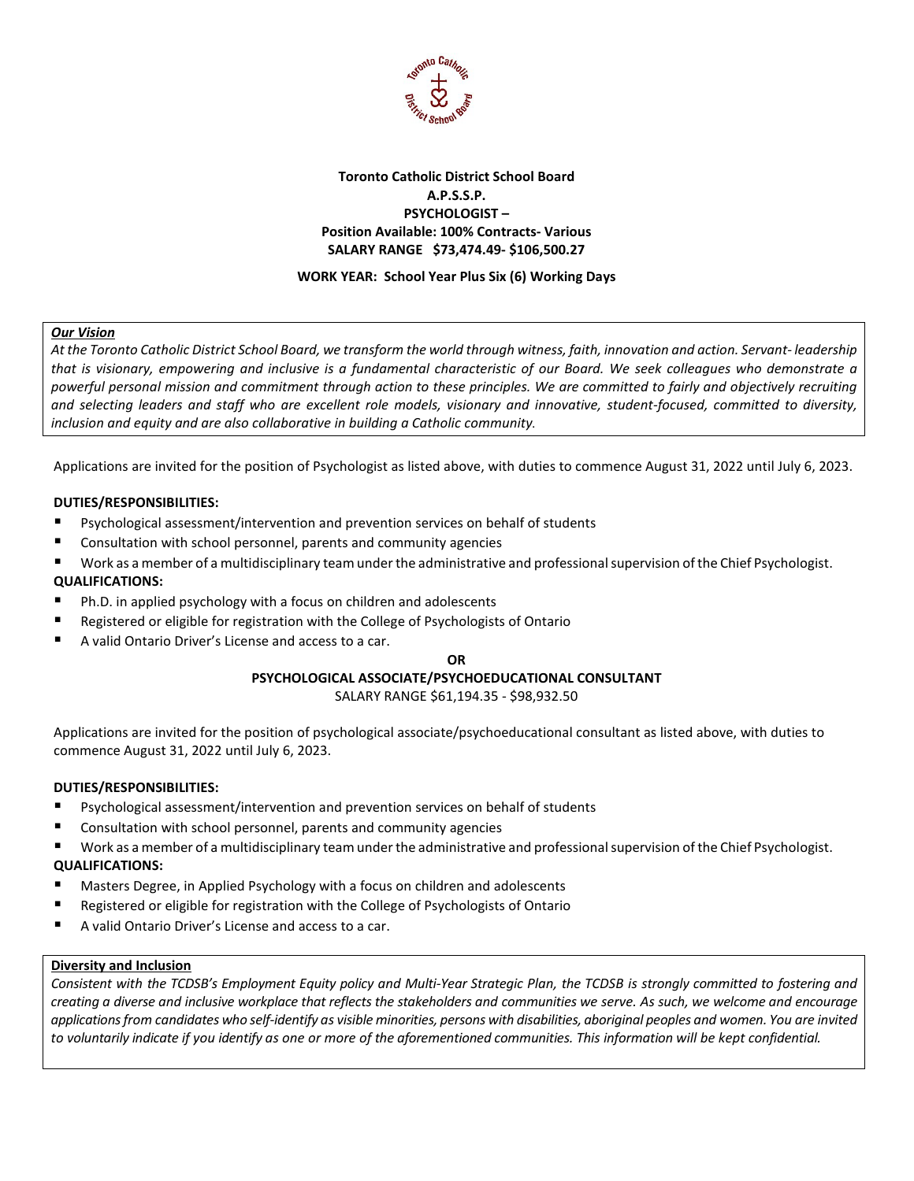

### **Toronto Catholic District School Board A.P.S.S.P. PSYCHOLOGIST – Position Available: 100% Contracts- Various SALARY RANGE \$73,474.49- \$106,500.27**

### **WORK YEAR: School Year Plus Six (6) Working Days**

### *Our Vision*

*At the Toronto Catholic District School Board, we transform the world through witness, faith, innovation and action. Servant- leadership that is visionary, empowering and inclusive is a fundamental characteristic of our Board. We seek colleagues who demonstrate a powerful personal mission and commitment through action to these principles. We are committed to fairly and objectively recruiting and selecting leaders and staff who are excellent role models, visionary and innovative, student-focused, committed to diversity, inclusion and equity and are also collaborative in building a Catholic community.*

Applications are invited for the position of Psychologist as listed above, with duties to commence August 31, 2022 until July 6, 2023.

### **DUTIES/RESPONSIBILITIES:**

- Psychological assessment/intervention and prevention services on behalf of students
- Consultation with school personnel, parents and community agencies
- Work as a member of a multidisciplinary team under the administrative and professional supervision ofthe Chief Psychologist. **QUALIFICATIONS:**
- Ph.D. in applied psychology with a focus on children and adolescents
- Registered or eligible for registration with the College of Psychologists of Ontario
- A valid Ontario Driver's License and access to a car.

#### **OR**

# **PSYCHOLOGICAL ASSOCIATE/PSYCHOEDUCATIONAL CONSULTANT**

SALARY RANGE \$61,194.35 - \$98,932.50

Applications are invited for the position of psychological associate/psychoeducational consultant as listed above, with duties to commence August 31, 2022 until July 6, 2023.

### **DUTIES/RESPONSIBILITIES:**

- Psychological assessment/intervention and prevention services on behalf of students
- Consultation with school personnel, parents and community agencies
- Work as a member of a multidisciplinary team under the administrative and professional supervision of the Chief Psychologist. **QUALIFICATIONS:**
- Masters Degree, in Applied Psychology with a focus on children and adolescents
- Registered or eligible for registration with the College of Psychologists of Ontario
- A valid Ontario Driver's License and access to a car.

### **Diversity and Inclusion**

*Consistent with the TCDSB's Employment Equity policy and Multi-Year Strategic Plan, the TCDSB is strongly committed to fostering and creating a diverse and inclusive workplace that reflects the stakeholders and communities we serve. As such, we welcome and encourage applications from candidates who self-identify as visible minorities, persons with disabilities, aboriginal peoples and women. You are invited to voluntarily indicate if you identify as one or more of the aforementioned communities. This information will be kept confidential.*